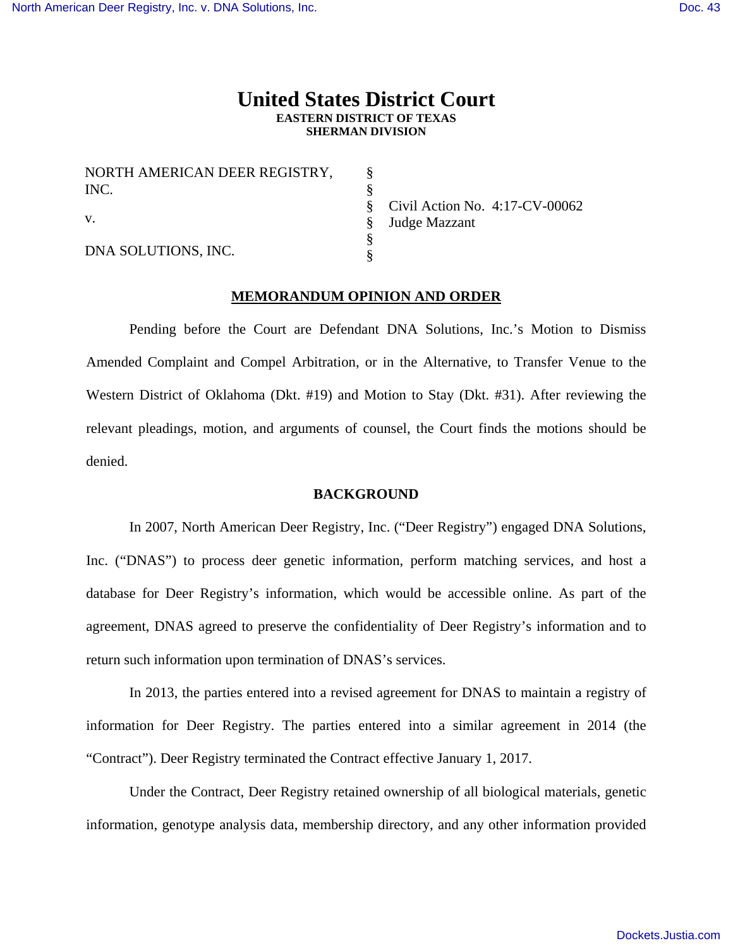# **United States District Court EASTERN DISTRICT OF TEXAS SHERMAN DIVISION**

| NORTH AMERICAN DEER REGISTRY,<br>INC. |  |
|---------------------------------------|--|
|                                       |  |
| DNA SOLUTIONS, INC.                   |  |

Civil Action No. 4:17-CV-00062 Judge Mazzant

# **MEMORANDUM OPINION AND ORDER**

 Pending before the Court are Defendant DNA Solutions, Inc.'s Motion to Dismiss Amended Complaint and Compel Arbitration, or in the Alternative, to Transfer Venue to the Western District of Oklahoma (Dkt. #19) and Motion to Stay (Dkt. #31). After reviewing the relevant pleadings, motion, and arguments of counsel, the Court finds the motions should be denied.

## **BACKGROUND**

In 2007, North American Deer Registry, Inc. ("Deer Registry") engaged DNA Solutions, Inc. ("DNAS") to process deer genetic information, perform matching services, and host a database for Deer Registry's information, which would be accessible online. As part of the agreement, DNAS agreed to preserve the confidentiality of Deer Registry's information and to return such information upon termination of DNAS's services.

 In 2013, the parties entered into a revised agreement for DNAS to maintain a registry of information for Deer Registry. The parties entered into a similar agreement in 2014 (the "Contract"). Deer Registry terminated the Contract effective January 1, 2017.

Under the Contract, Deer Registry retained ownership of all biological materials, genetic information, genotype analysis data, membership directory, and any other information provided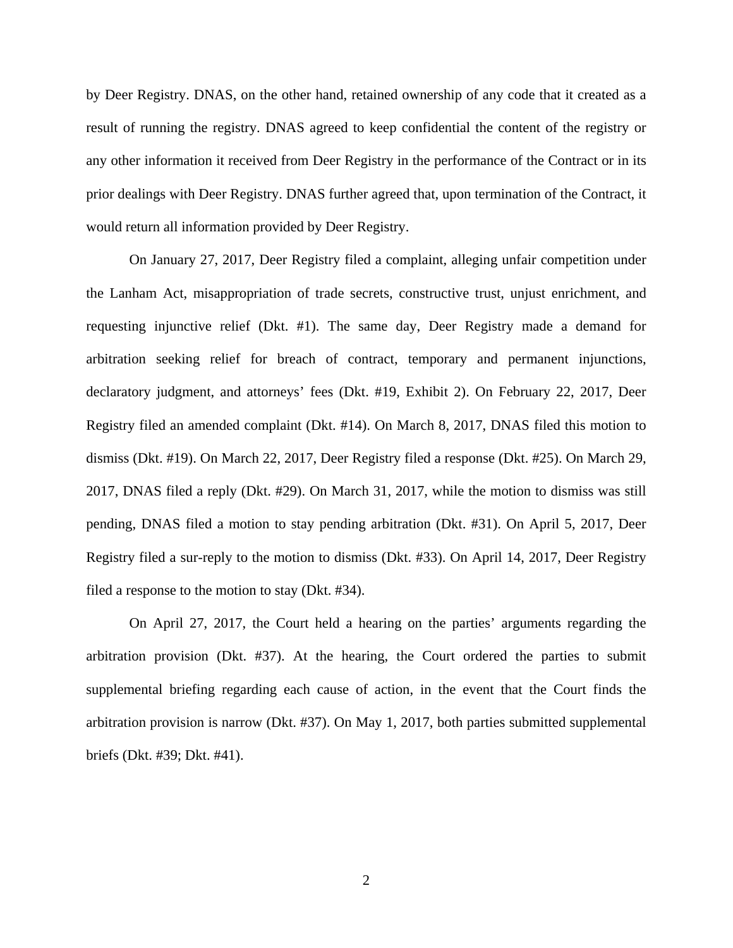by Deer Registry. DNAS, on the other hand, retained ownership of any code that it created as a result of running the registry. DNAS agreed to keep confidential the content of the registry or any other information it received from Deer Registry in the performance of the Contract or in its prior dealings with Deer Registry. DNAS further agreed that, upon termination of the Contract, it would return all information provided by Deer Registry.

On January 27, 2017, Deer Registry filed a complaint, alleging unfair competition under the Lanham Act, misappropriation of trade secrets, constructive trust, unjust enrichment, and requesting injunctive relief (Dkt. #1). The same day, Deer Registry made a demand for arbitration seeking relief for breach of contract, temporary and permanent injunctions, declaratory judgment, and attorneys' fees (Dkt. #19, Exhibit 2). On February 22, 2017, Deer Registry filed an amended complaint (Dkt. #14). On March 8, 2017, DNAS filed this motion to dismiss (Dkt. #19). On March 22, 2017, Deer Registry filed a response (Dkt. #25). On March 29, 2017, DNAS filed a reply (Dkt. #29). On March 31, 2017, while the motion to dismiss was still pending, DNAS filed a motion to stay pending arbitration (Dkt. #31). On April 5, 2017, Deer Registry filed a sur-reply to the motion to dismiss (Dkt. #33). On April 14, 2017, Deer Registry filed a response to the motion to stay (Dkt. #34).

On April 27, 2017, the Court held a hearing on the parties' arguments regarding the arbitration provision (Dkt. #37). At the hearing, the Court ordered the parties to submit supplemental briefing regarding each cause of action, in the event that the Court finds the arbitration provision is narrow (Dkt. #37). On May 1, 2017, both parties submitted supplemental briefs (Dkt. #39; Dkt. #41).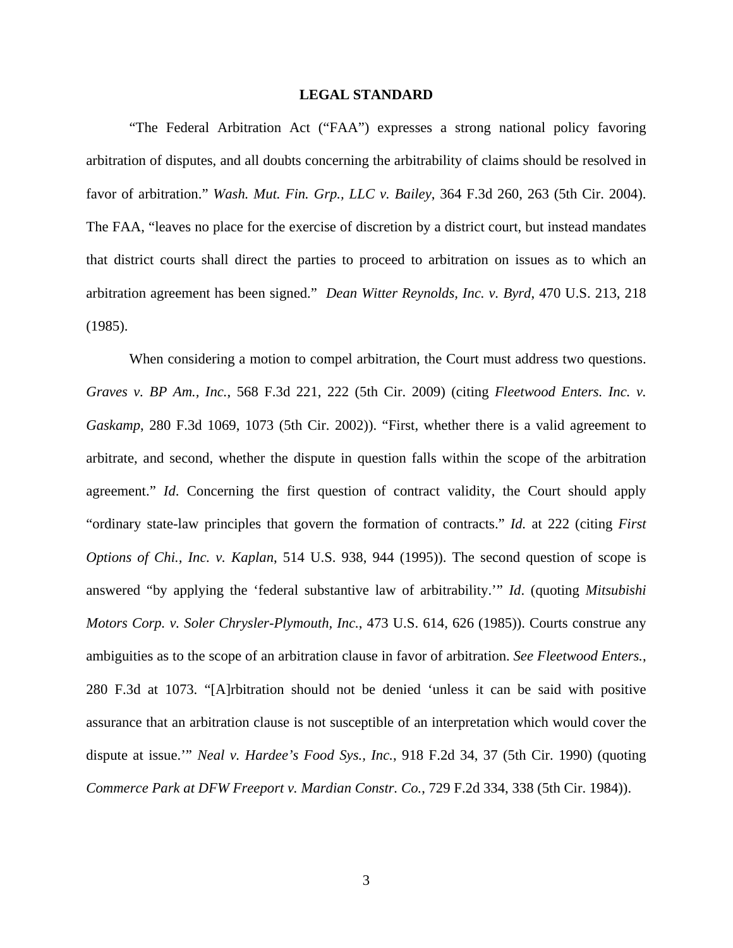## **LEGAL STANDARD**

 "The Federal Arbitration Act ("FAA") expresses a strong national policy favoring arbitration of disputes, and all doubts concerning the arbitrability of claims should be resolved in favor of arbitration." *Wash. Mut. Fin. Grp., LLC v. Bailey*, 364 F.3d 260, 263 (5th Cir. 2004). The FAA, "leaves no place for the exercise of discretion by a district court, but instead mandates that district courts shall direct the parties to proceed to arbitration on issues as to which an arbitration agreement has been signed." *Dean Witter Reynolds, Inc. v. Byrd*, 470 U.S. 213, 218 (1985).

 When considering a motion to compel arbitration, the Court must address two questions. *Graves v. BP Am., Inc.*, 568 F.3d 221, 222 (5th Cir. 2009) (citing *Fleetwood Enters. Inc. v. Gaskamp*, 280 F.3d 1069, 1073 (5th Cir. 2002)). "First, whether there is a valid agreement to arbitrate, and second, whether the dispute in question falls within the scope of the arbitration agreement." *Id*. Concerning the first question of contract validity, the Court should apply "ordinary state-law principles that govern the formation of contracts." *Id.* at 222 (citing *First Options of Chi., Inc. v. Kaplan*, 514 U.S. 938, 944 (1995)). The second question of scope is answered "by applying the 'federal substantive law of arbitrability.'" *Id*. (quoting *Mitsubishi Motors Corp. v. Soler Chrysler-Plymouth, Inc.*, 473 U.S. 614, 626 (1985)). Courts construe any ambiguities as to the scope of an arbitration clause in favor of arbitration. *See Fleetwood Enters.*, 280 F.3d at 1073. "[A]rbitration should not be denied 'unless it can be said with positive assurance that an arbitration clause is not susceptible of an interpretation which would cover the dispute at issue.'" *Neal v. Hardee's Food Sys., Inc.*, 918 F.2d 34, 37 (5th Cir. 1990) (quoting *Commerce Park at DFW Freeport v. Mardian Constr. Co.*, 729 F.2d 334, 338 (5th Cir. 1984)).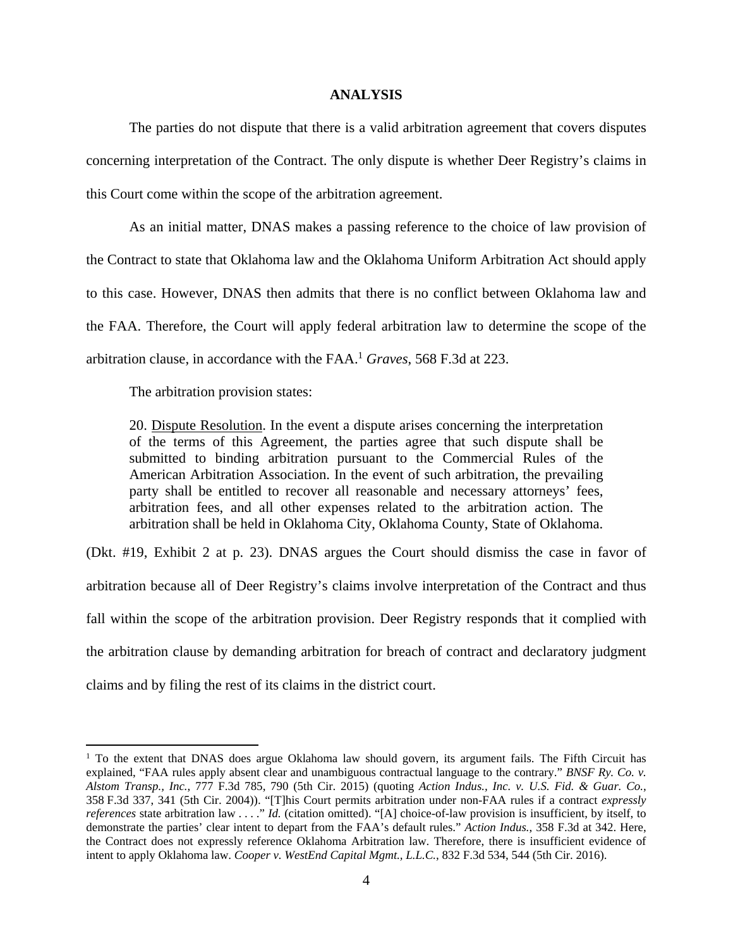## **ANALYSIS**

The parties do not dispute that there is a valid arbitration agreement that covers disputes concerning interpretation of the Contract. The only dispute is whether Deer Registry's claims in this Court come within the scope of the arbitration agreement.

As an initial matter, DNAS makes a passing reference to the choice of law provision of the Contract to state that Oklahoma law and the Oklahoma Uniform Arbitration Act should apply to this case. However, DNAS then admits that there is no conflict between Oklahoma law and the FAA. Therefore, the Court will apply federal arbitration law to determine the scope of the arbitration clause, in accordance with the FAA.<sup>1</sup> *Graves*, 568 F.3d at 223.

The arbitration provision states:

 $\overline{a}$ 

20. Dispute Resolution. In the event a dispute arises concerning the interpretation of the terms of this Agreement, the parties agree that such dispute shall be submitted to binding arbitration pursuant to the Commercial Rules of the American Arbitration Association. In the event of such arbitration, the prevailing party shall be entitled to recover all reasonable and necessary attorneys' fees, arbitration fees, and all other expenses related to the arbitration action. The arbitration shall be held in Oklahoma City, Oklahoma County, State of Oklahoma.

(Dkt. #19, Exhibit 2 at p. 23). DNAS argues the Court should dismiss the case in favor of arbitration because all of Deer Registry's claims involve interpretation of the Contract and thus fall within the scope of the arbitration provision. Deer Registry responds that it complied with the arbitration clause by demanding arbitration for breach of contract and declaratory judgment claims and by filing the rest of its claims in the district court.

<sup>&</sup>lt;sup>1</sup> To the extent that DNAS does argue Oklahoma law should govern, its argument fails. The Fifth Circuit has explained, "FAA rules apply absent clear and unambiguous contractual language to the contrary." *BNSF Ry. Co. v. Alstom Transp., Inc.*, 777 F.3d 785, 790 (5th Cir. 2015) (quoting *Action Indus., Inc. v. U.S. Fid. & Guar. Co.*, 358 F.3d 337, 341 (5th Cir. 2004)). "[T]his Court permits arbitration under non-FAA rules if a contract *expressly references* state arbitration law . . . ." *Id.* (citation omitted). "[A] choice-of-law provision is insufficient, by itself, to demonstrate the parties' clear intent to depart from the FAA's default rules." *Action Indus.*, 358 F.3d at 342. Here, the Contract does not expressly reference Oklahoma Arbitration law. Therefore, there is insufficient evidence of intent to apply Oklahoma law. *Cooper v. WestEnd Capital Mgmt., L.L.C.*, 832 F.3d 534, 544 (5th Cir. 2016).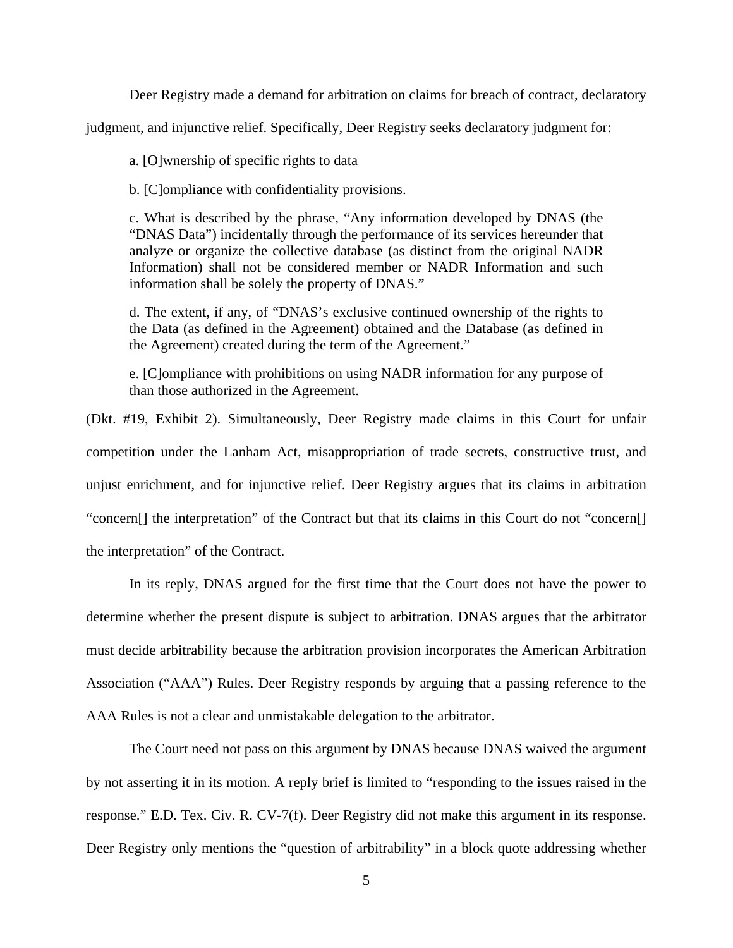Deer Registry made a demand for arbitration on claims for breach of contract, declaratory

judgment, and injunctive relief. Specifically, Deer Registry seeks declaratory judgment for:

a. [O]wnership of specific rights to data

b. [C]ompliance with confidentiality provisions.

c. What is described by the phrase, "Any information developed by DNAS (the "DNAS Data") incidentally through the performance of its services hereunder that analyze or organize the collective database (as distinct from the original NADR Information) shall not be considered member or NADR Information and such information shall be solely the property of DNAS."

d. The extent, if any, of "DNAS's exclusive continued ownership of the rights to the Data (as defined in the Agreement) obtained and the Database (as defined in the Agreement) created during the term of the Agreement."

e. [C]ompliance with prohibitions on using NADR information for any purpose of than those authorized in the Agreement.

(Dkt. #19, Exhibit 2). Simultaneously, Deer Registry made claims in this Court for unfair competition under the Lanham Act, misappropriation of trade secrets, constructive trust, and unjust enrichment, and for injunctive relief. Deer Registry argues that its claims in arbitration "concern[] the interpretation" of the Contract but that its claims in this Court do not "concern[] the interpretation" of the Contract.

 In its reply, DNAS argued for the first time that the Court does not have the power to determine whether the present dispute is subject to arbitration. DNAS argues that the arbitrator must decide arbitrability because the arbitration provision incorporates the American Arbitration Association ("AAA") Rules. Deer Registry responds by arguing that a passing reference to the AAA Rules is not a clear and unmistakable delegation to the arbitrator.

The Court need not pass on this argument by DNAS because DNAS waived the argument by not asserting it in its motion. A reply brief is limited to "responding to the issues raised in the response." E.D. Tex. Civ. R. CV-7(f). Deer Registry did not make this argument in its response. Deer Registry only mentions the "question of arbitrability" in a block quote addressing whether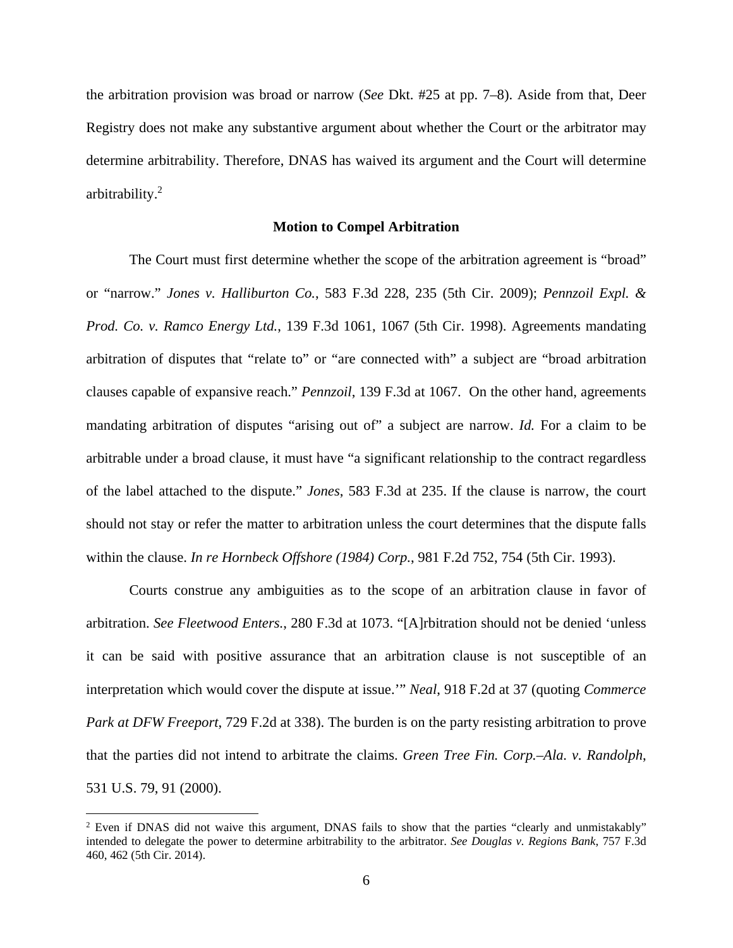the arbitration provision was broad or narrow (*See* Dkt. #25 at pp. 7–8). Aside from that, Deer Registry does not make any substantive argument about whether the Court or the arbitrator may determine arbitrability. Therefore, DNAS has waived its argument and the Court will determine arbitrability.<sup>2</sup>

#### **Motion to Compel Arbitration**

The Court must first determine whether the scope of the arbitration agreement is "broad" or "narrow." *Jones v. Halliburton Co.*, 583 F.3d 228, 235 (5th Cir. 2009); *Pennzoil Expl. & Prod. Co. v. Ramco Energy Ltd.*, 139 F.3d 1061, 1067 (5th Cir. 1998). Agreements mandating arbitration of disputes that "relate to" or "are connected with" a subject are "broad arbitration clauses capable of expansive reach." *Pennzoil*, 139 F.3d at 1067. On the other hand, agreements mandating arbitration of disputes "arising out of" a subject are narrow. *Id.* For a claim to be arbitrable under a broad clause, it must have "a significant relationship to the contract regardless of the label attached to the dispute." *Jones*, 583 F.3d at 235. If the clause is narrow, the court should not stay or refer the matter to arbitration unless the court determines that the dispute falls within the clause. *In re Hornbeck Offshore (1984) Corp.*, 981 F.2d 752, 754 (5th Cir. 1993).

 Courts construe any ambiguities as to the scope of an arbitration clause in favor of arbitration. *See Fleetwood Enters.*, 280 F.3d at 1073. "[A]rbitration should not be denied 'unless it can be said with positive assurance that an arbitration clause is not susceptible of an interpretation which would cover the dispute at issue.'" *Neal*, 918 F.2d at 37 (quoting *Commerce Park at DFW Freeport*, 729 F.2d at 338). The burden is on the party resisting arbitration to prove that the parties did not intend to arbitrate the claims. *Green Tree Fin. Corp.–Ala. v. Randolph*, 531 U.S. 79, 91 (2000).

<u>.</u>

 $2$  Even if DNAS did not waive this argument, DNAS fails to show that the parties "clearly and unmistakably" intended to delegate the power to determine arbitrability to the arbitrator. *See Douglas v. Regions Bank*, 757 F.3d 460, 462 (5th Cir. 2014).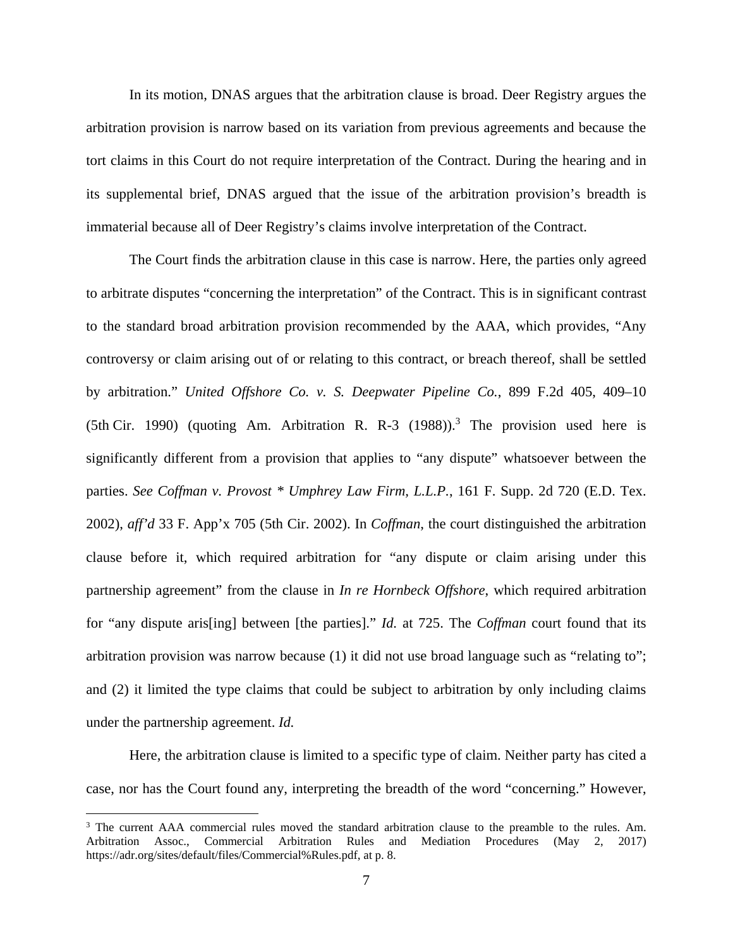In its motion, DNAS argues that the arbitration clause is broad. Deer Registry argues the arbitration provision is narrow based on its variation from previous agreements and because the tort claims in this Court do not require interpretation of the Contract. During the hearing and in its supplemental brief, DNAS argued that the issue of the arbitration provision's breadth is immaterial because all of Deer Registry's claims involve interpretation of the Contract.

The Court finds the arbitration clause in this case is narrow. Here, the parties only agreed to arbitrate disputes "concerning the interpretation" of the Contract. This is in significant contrast to the standard broad arbitration provision recommended by the AAA, which provides, "Any controversy or claim arising out of or relating to this contract, or breach thereof, shall be settled by arbitration." *United Offshore Co. v. S. Deepwater Pipeline Co.*, 899 F.2d 405, 409–10 (5th Cir. 1990) (quoting Am. Arbitration R. R-3  $(1988)$ ).<sup>3</sup> The provision used here is significantly different from a provision that applies to "any dispute" whatsoever between the parties. *See Coffman v. Provost \* Umphrey Law Firm, L.L.P.*, 161 F. Supp. 2d 720 (E.D. Tex. 2002), *aff'd* 33 F. App'x 705 (5th Cir. 2002). In *Coffman*, the court distinguished the arbitration clause before it, which required arbitration for "any dispute or claim arising under this partnership agreement" from the clause in *In re Hornbeck Offshore*, which required arbitration for "any dispute aris[ing] between [the parties]." *Id.* at 725. The *Coffman* court found that its arbitration provision was narrow because (1) it did not use broad language such as "relating to"; and (2) it limited the type claims that could be subject to arbitration by only including claims under the partnership agreement. *Id.*

Here, the arbitration clause is limited to a specific type of claim. Neither party has cited a case, nor has the Court found any, interpreting the breadth of the word "concerning." However,

<u>.</u>

<sup>&</sup>lt;sup>3</sup> The current AAA commercial rules moved the standard arbitration clause to the preamble to the rules. Am. Arbitration Assoc., Commercial Arbitration Rules and Mediation Procedures (May 2, 2017) https://adr.org/sites/default/files/Commercial%Rules.pdf, at p. 8.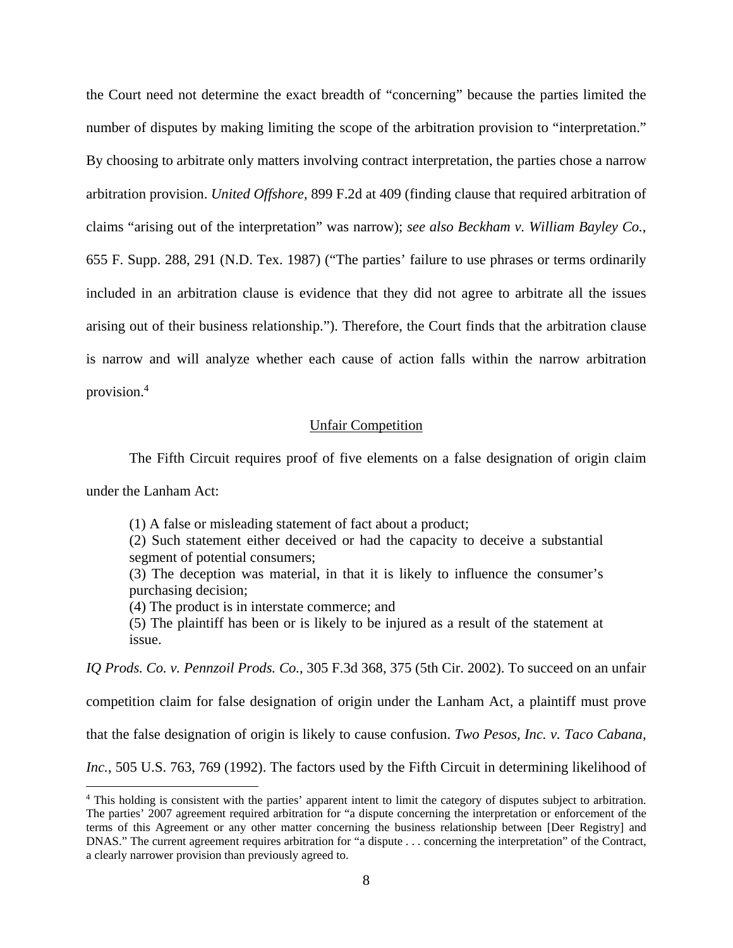the Court need not determine the exact breadth of "concerning" because the parties limited the number of disputes by making limiting the scope of the arbitration provision to "interpretation." By choosing to arbitrate only matters involving contract interpretation, the parties chose a narrow arbitration provision. *United Offshore*, 899 F.2d at 409 (finding clause that required arbitration of claims "arising out of the interpretation" was narrow); *see also Beckham v. William Bayley Co.*, 655 F. Supp. 288, 291 (N.D. Tex. 1987) ("The parties' failure to use phrases or terms ordinarily included in an arbitration clause is evidence that they did not agree to arbitrate all the issues arising out of their business relationship."). Therefore, the Court finds that the arbitration clause is narrow and will analyze whether each cause of action falls within the narrow arbitration provision.<sup>4</sup>

# Unfair Competition

The Fifth Circuit requires proof of five elements on a false designation of origin claim

under the Lanham Act:

 $\overline{a}$ 

(1) A false or misleading statement of fact about a product;

(2) Such statement either deceived or had the capacity to deceive a substantial segment of potential consumers;

(3) The deception was material, in that it is likely to influence the consumer's purchasing decision;

(4) The product is in interstate commerce; and

(5) The plaintiff has been or is likely to be injured as a result of the statement at issue.

*IQ Prods. Co. v. Pennzoil Prods. Co.*, 305 F.3d 368, 375 (5th Cir. 2002). To succeed on an unfair

competition claim for false designation of origin under the Lanham Act, a plaintiff must prove

that the false designation of origin is likely to cause confusion. *Two Pesos, Inc. v. Taco Cabana,* 

*Inc.*, 505 U.S. 763, 769 (1992). The factors used by the Fifth Circuit in determining likelihood of

<sup>&</sup>lt;sup>4</sup> This holding is consistent with the parties' apparent intent to limit the category of disputes subject to arbitration. The parties' 2007 agreement required arbitration for "a dispute concerning the interpretation or enforcement of the terms of this Agreement or any other matter concerning the business relationship between [Deer Registry] and DNAS." The current agreement requires arbitration for "a dispute . . . concerning the interpretation" of the Contract, a clearly narrower provision than previously agreed to.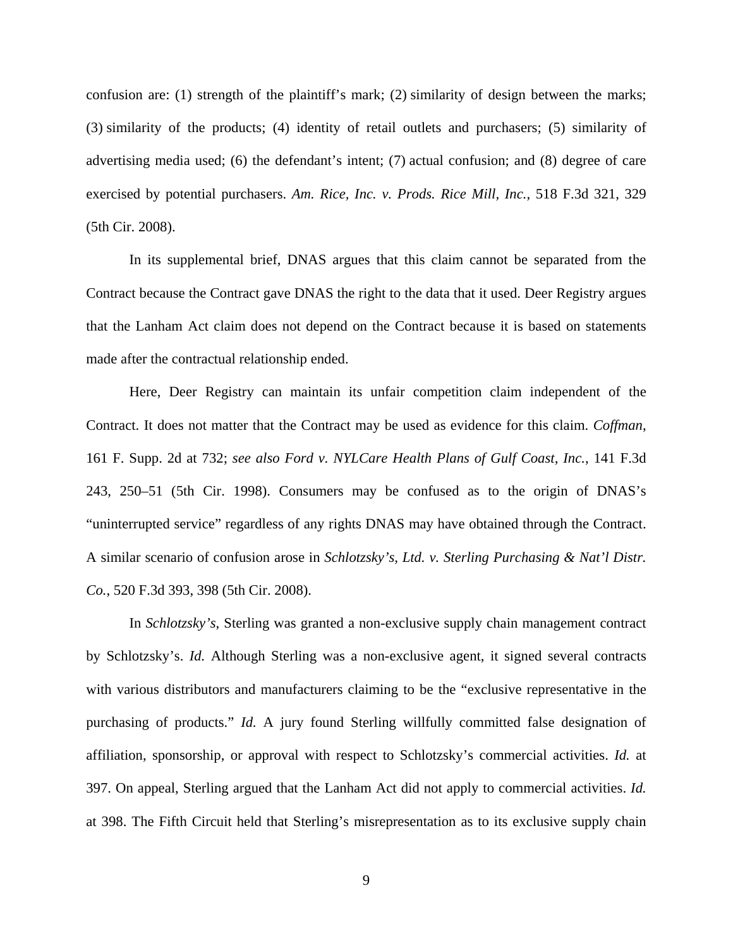confusion are: (1) strength of the plaintiff's mark; (2) similarity of design between the marks; (3) similarity of the products; (4) identity of retail outlets and purchasers; (5) similarity of advertising media used; (6) the defendant's intent; (7) actual confusion; and (8) degree of care exercised by potential purchasers. *Am. Rice, Inc. v. Prods. Rice Mill, Inc.*, 518 F.3d 321, 329 (5th Cir. 2008).

 In its supplemental brief, DNAS argues that this claim cannot be separated from the Contract because the Contract gave DNAS the right to the data that it used. Deer Registry argues that the Lanham Act claim does not depend on the Contract because it is based on statements made after the contractual relationship ended.

 Here, Deer Registry can maintain its unfair competition claim independent of the Contract. It does not matter that the Contract may be used as evidence for this claim. *Coffman*, 161 F. Supp. 2d at 732; *see also Ford v. NYLCare Health Plans of Gulf Coast, Inc.*, 141 F.3d 243, 250–51 (5th Cir. 1998). Consumers may be confused as to the origin of DNAS's "uninterrupted service" regardless of any rights DNAS may have obtained through the Contract. A similar scenario of confusion arose in *Schlotzsky's, Ltd. v. Sterling Purchasing & Nat'l Distr. Co.*, 520 F.3d 393, 398 (5th Cir. 2008).

 In *Schlotzsky's*, Sterling was granted a non-exclusive supply chain management contract by Schlotzsky's. *Id.* Although Sterling was a non-exclusive agent, it signed several contracts with various distributors and manufacturers claiming to be the "exclusive representative in the purchasing of products." *Id.* A jury found Sterling willfully committed false designation of affiliation, sponsorship, or approval with respect to Schlotzsky's commercial activities. *Id.* at 397. On appeal, Sterling argued that the Lanham Act did not apply to commercial activities. *Id.* at 398. The Fifth Circuit held that Sterling's misrepresentation as to its exclusive supply chain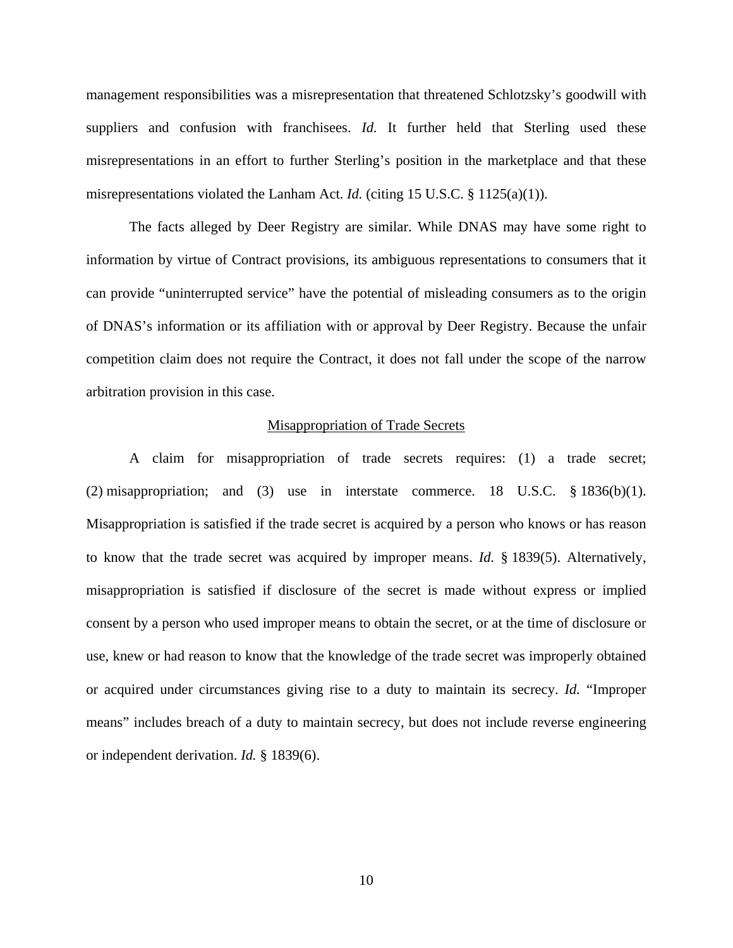management responsibilities was a misrepresentation that threatened Schlotzsky's goodwill with suppliers and confusion with franchisees. *Id*. It further held that Sterling used these misrepresentations in an effort to further Sterling's position in the marketplace and that these misrepresentations violated the Lanham Act. *Id.* (citing 15 U.S.C. § 1125(a)(1)).

 The facts alleged by Deer Registry are similar. While DNAS may have some right to information by virtue of Contract provisions, its ambiguous representations to consumers that it can provide "uninterrupted service" have the potential of misleading consumers as to the origin of DNAS's information or its affiliation with or approval by Deer Registry. Because the unfair competition claim does not require the Contract, it does not fall under the scope of the narrow arbitration provision in this case.

## Misappropriation of Trade Secrets

A claim for misappropriation of trade secrets requires: (1) a trade secret; (2) misappropriation; and (3) use in interstate commerce. 18 U.S.C. § 1836(b)(1). Misappropriation is satisfied if the trade secret is acquired by a person who knows or has reason to know that the trade secret was acquired by improper means. *Id.* § 1839(5). Alternatively, misappropriation is satisfied if disclosure of the secret is made without express or implied consent by a person who used improper means to obtain the secret, or at the time of disclosure or use, knew or had reason to know that the knowledge of the trade secret was improperly obtained or acquired under circumstances giving rise to a duty to maintain its secrecy. *Id.* "Improper means" includes breach of a duty to maintain secrecy, but does not include reverse engineering or independent derivation. *Id.* § 1839(6).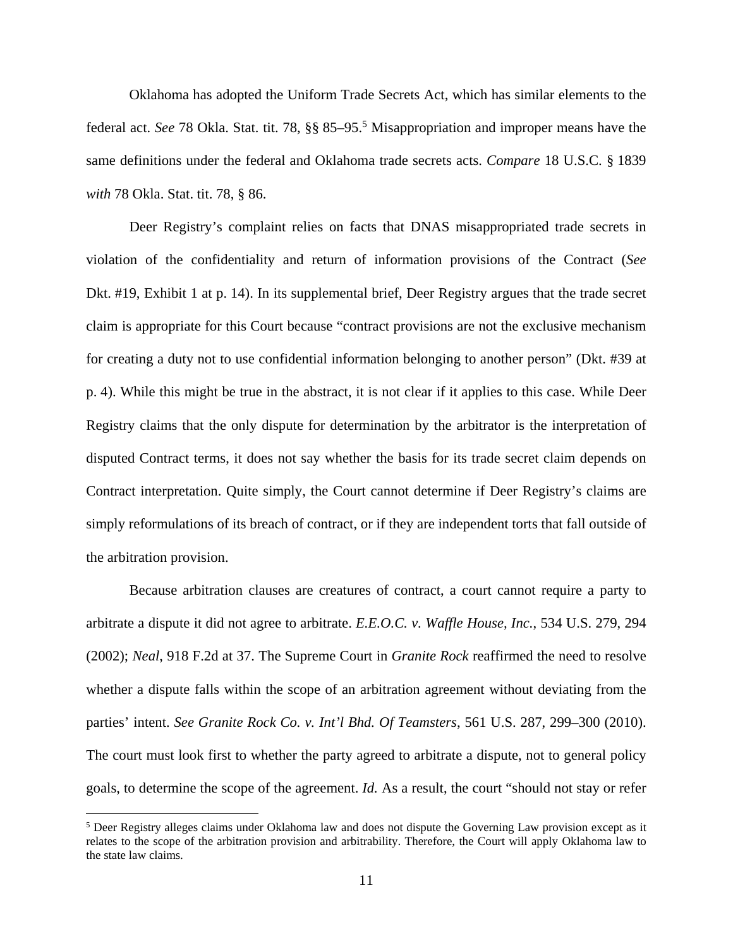Oklahoma has adopted the Uniform Trade Secrets Act, which has similar elements to the federal act. *See* 78 Okla. Stat. tit. 78, §§ 85–95.<sup>5</sup> Misappropriation and improper means have the same definitions under the federal and Oklahoma trade secrets acts. *Compare* 18 U.S.C. § 1839 *with* 78 Okla. Stat. tit. 78, § 86.

 Deer Registry's complaint relies on facts that DNAS misappropriated trade secrets in violation of the confidentiality and return of information provisions of the Contract (*See* Dkt. #19, Exhibit 1 at p. 14). In its supplemental brief, Deer Registry argues that the trade secret claim is appropriate for this Court because "contract provisions are not the exclusive mechanism for creating a duty not to use confidential information belonging to another person" (Dkt. #39 at p. 4). While this might be true in the abstract, it is not clear if it applies to this case. While Deer Registry claims that the only dispute for determination by the arbitrator is the interpretation of disputed Contract terms, it does not say whether the basis for its trade secret claim depends on Contract interpretation. Quite simply, the Court cannot determine if Deer Registry's claims are simply reformulations of its breach of contract, or if they are independent torts that fall outside of the arbitration provision.

 Because arbitration clauses are creatures of contract, a court cannot require a party to arbitrate a dispute it did not agree to arbitrate. *E.E.O.C. v. Waffle House, Inc.*, 534 U.S. 279, 294 (2002); *Neal*, 918 F.2d at 37. The Supreme Court in *Granite Rock* reaffirmed the need to resolve whether a dispute falls within the scope of an arbitration agreement without deviating from the parties' intent. *See Granite Rock Co. v. Int'l Bhd. Of Teamsters*, 561 U.S. 287, 299–300 (2010). The court must look first to whether the party agreed to arbitrate a dispute, not to general policy goals, to determine the scope of the agreement. *Id.* As a result, the court "should not stay or refer

<u>.</u>

<sup>&</sup>lt;sup>5</sup> Deer Registry alleges claims under Oklahoma law and does not dispute the Governing Law provision except as it relates to the scope of the arbitration provision and arbitrability. Therefore, the Court will apply Oklahoma law to the state law claims.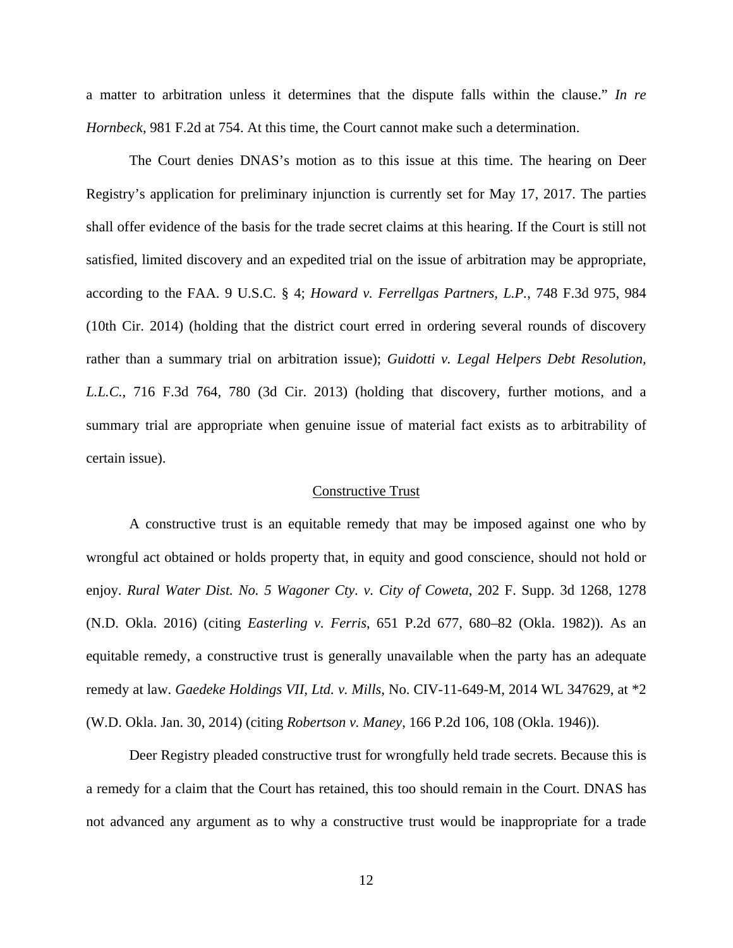a matter to arbitration unless it determines that the dispute falls within the clause." *In re Hornbeck*, 981 F.2d at 754. At this time, the Court cannot make such a determination.

The Court denies DNAS's motion as to this issue at this time. The hearing on Deer Registry's application for preliminary injunction is currently set for May 17, 2017. The parties shall offer evidence of the basis for the trade secret claims at this hearing. If the Court is still not satisfied, limited discovery and an expedited trial on the issue of arbitration may be appropriate, according to the FAA. 9 U.S.C. § 4; *Howard v. Ferrellgas Partners, L.P.*, 748 F.3d 975, 984 (10th Cir. 2014) (holding that the district court erred in ordering several rounds of discovery rather than a summary trial on arbitration issue); *Guidotti v. Legal Helpers Debt Resolution, L.L.C.*, 716 F.3d 764, 780 (3d Cir. 2013) (holding that discovery, further motions, and a summary trial are appropriate when genuine issue of material fact exists as to arbitrability of certain issue).

# Constructive Trust

A constructive trust is an equitable remedy that may be imposed against one who by wrongful act obtained or holds property that, in equity and good conscience, should not hold or enjoy. *Rural Water Dist. No. 5 Wagoner Cty. v. City of Coweta*, 202 F. Supp. 3d 1268, 1278 (N.D. Okla. 2016) (citing *Easterling v. Ferris*, 651 P.2d 677, 680–82 (Okla. 1982)). As an equitable remedy, a constructive trust is generally unavailable when the party has an adequate remedy at law. *Gaedeke Holdings VII, Ltd. v. Mills*, No. CIV-11-649-M, 2014 WL 347629, at \*2 (W.D. Okla. Jan. 30, 2014) (citing *Robertson v. Maney*, 166 P.2d 106, 108 (Okla. 1946)).

Deer Registry pleaded constructive trust for wrongfully held trade secrets. Because this is a remedy for a claim that the Court has retained, this too should remain in the Court. DNAS has not advanced any argument as to why a constructive trust would be inappropriate for a trade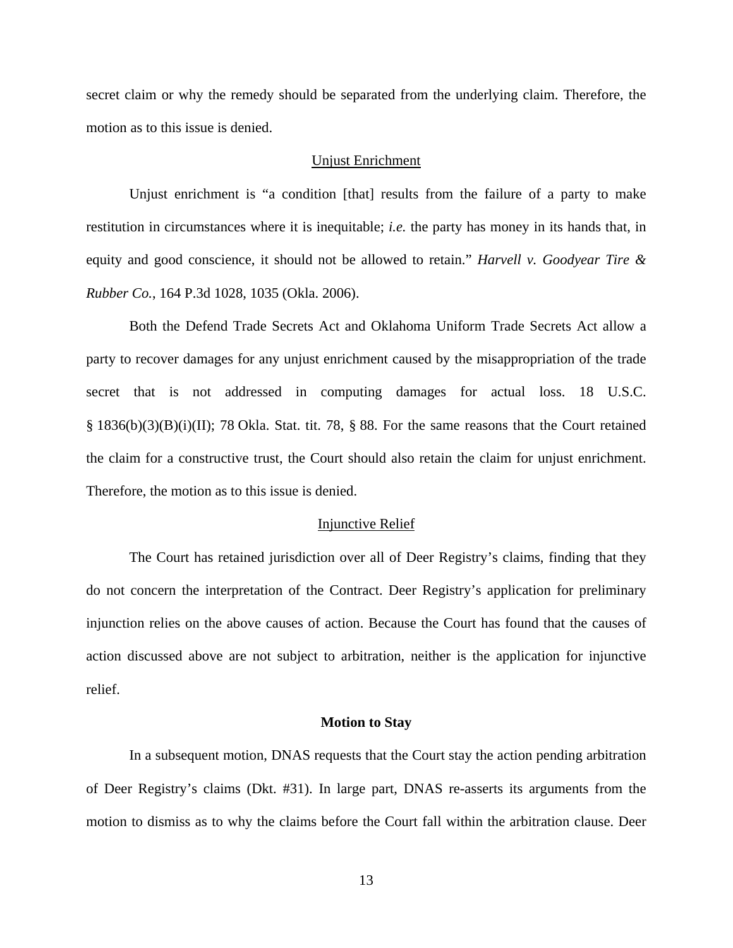secret claim or why the remedy should be separated from the underlying claim. Therefore, the motion as to this issue is denied.

## Unjust Enrichment

Unjust enrichment is "a condition [that] results from the failure of a party to make restitution in circumstances where it is inequitable; *i.e.* the party has money in its hands that, in equity and good conscience, it should not be allowed to retain." *Harvell v. Goodyear Tire & Rubber Co.*, 164 P.3d 1028, 1035 (Okla. 2006).

 Both the Defend Trade Secrets Act and Oklahoma Uniform Trade Secrets Act allow a party to recover damages for any unjust enrichment caused by the misappropriation of the trade secret that is not addressed in computing damages for actual loss. 18 U.S.C. § 1836(b)(3)(B)(i)(II); 78 Okla. Stat. tit. 78, § 88. For the same reasons that the Court retained the claim for a constructive trust, the Court should also retain the claim for unjust enrichment. Therefore, the motion as to this issue is denied.

#### Injunctive Relief

 The Court has retained jurisdiction over all of Deer Registry's claims, finding that they do not concern the interpretation of the Contract. Deer Registry's application for preliminary injunction relies on the above causes of action. Because the Court has found that the causes of action discussed above are not subject to arbitration, neither is the application for injunctive relief.

#### **Motion to Stay**

 In a subsequent motion, DNAS requests that the Court stay the action pending arbitration of Deer Registry's claims (Dkt. #31). In large part, DNAS re-asserts its arguments from the motion to dismiss as to why the claims before the Court fall within the arbitration clause. Deer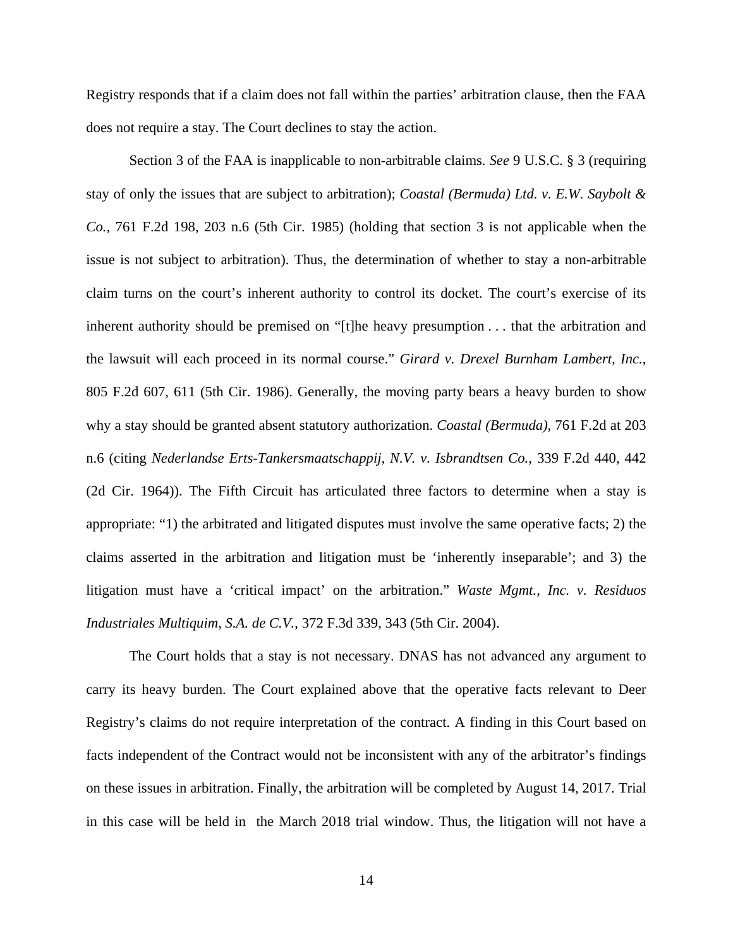Registry responds that if a claim does not fall within the parties' arbitration clause, then the FAA does not require a stay. The Court declines to stay the action.

Section 3 of the FAA is inapplicable to non-arbitrable claims. *See* 9 U.S.C. § 3 (requiring stay of only the issues that are subject to arbitration); *Coastal (Bermuda) Ltd. v. E.W. Saybolt & Co.*, 761 F.2d 198, 203 n.6 (5th Cir. 1985) (holding that section 3 is not applicable when the issue is not subject to arbitration). Thus, the determination of whether to stay a non-arbitrable claim turns on the court's inherent authority to control its docket. The court's exercise of its inherent authority should be premised on "[t]he heavy presumption . . . that the arbitration and the lawsuit will each proceed in its normal course." *Girard v. Drexel Burnham Lambert, Inc.*, 805 F.2d 607, 611 (5th Cir. 1986). Generally, the moving party bears a heavy burden to show why a stay should be granted absent statutory authorization. *Coastal (Bermuda)*, 761 F.2d at 203 n.6 (citing *Nederlandse Erts-Tankersmaatschappij, N.V. v. Isbrandtsen Co.*, 339 F.2d 440, 442 (2d Cir. 1964)). The Fifth Circuit has articulated three factors to determine when a stay is appropriate: "1) the arbitrated and litigated disputes must involve the same operative facts; 2) the claims asserted in the arbitration and litigation must be 'inherently inseparable'; and 3) the litigation must have a 'critical impact' on the arbitration." *Waste Mgmt., Inc. v. Residuos Industriales Multiquim, S.A. de C.V.*, 372 F.3d 339, 343 (5th Cir. 2004).

The Court holds that a stay is not necessary. DNAS has not advanced any argument to carry its heavy burden. The Court explained above that the operative facts relevant to Deer Registry's claims do not require interpretation of the contract. A finding in this Court based on facts independent of the Contract would not be inconsistent with any of the arbitrator's findings on these issues in arbitration. Finally, the arbitration will be completed by August 14, 2017. Trial in this case will be held in the March 2018 trial window. Thus, the litigation will not have a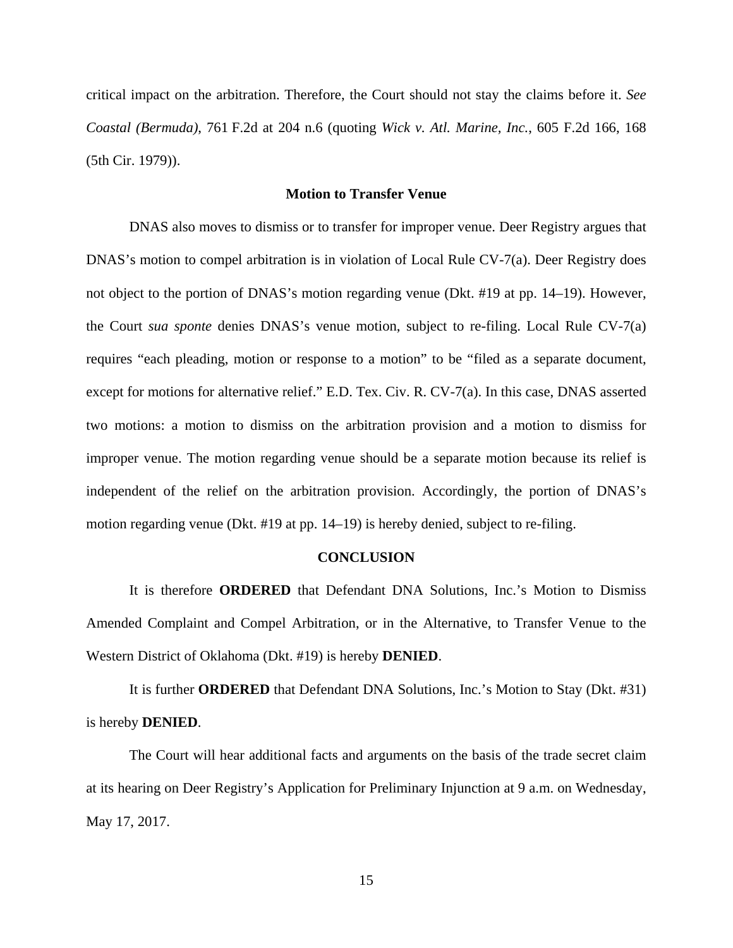critical impact on the arbitration. Therefore, the Court should not stay the claims before it. *See Coastal (Bermuda)*, 761 F.2d at 204 n.6 (quoting *Wick v. Atl. Marine, Inc.*, 605 F.2d 166, 168 (5th Cir. 1979)).

# **Motion to Transfer Venue**

DNAS also moves to dismiss or to transfer for improper venue. Deer Registry argues that DNAS's motion to compel arbitration is in violation of Local Rule CV-7(a). Deer Registry does not object to the portion of DNAS's motion regarding venue (Dkt. #19 at pp. 14–19). However, the Court *sua sponte* denies DNAS's venue motion, subject to re-filing. Local Rule CV-7(a) requires "each pleading, motion or response to a motion" to be "filed as a separate document, except for motions for alternative relief." E.D. Tex. Civ. R. CV-7(a). In this case, DNAS asserted two motions: a motion to dismiss on the arbitration provision and a motion to dismiss for improper venue. The motion regarding venue should be a separate motion because its relief is independent of the relief on the arbitration provision. Accordingly, the portion of DNAS's motion regarding venue (Dkt. #19 at pp. 14–19) is hereby denied, subject to re-filing.

#### **CONCLUSION**

It is therefore **ORDERED** that Defendant DNA Solutions, Inc.'s Motion to Dismiss Amended Complaint and Compel Arbitration, or in the Alternative, to Transfer Venue to the Western District of Oklahoma (Dkt. #19) is hereby **DENIED**.

It is further **ORDERED** that Defendant DNA Solutions, Inc.'s Motion to Stay (Dkt. #31) is hereby **DENIED**.

 The Court will hear additional facts and arguments on the basis of the trade secret claim at its hearing on Deer Registry's Application for Preliminary Injunction at 9 a.m. on Wednesday, May 17, 2017.